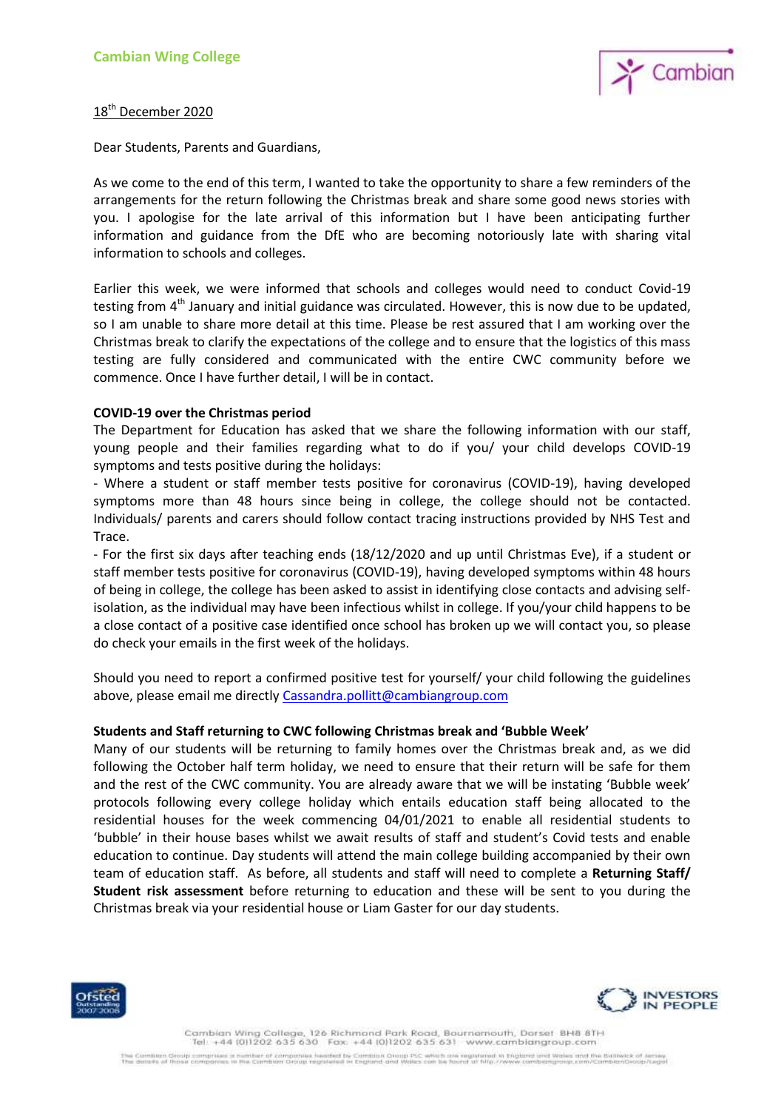

# 18<sup>th</sup> December 2020

Dear Students, Parents and Guardians,

As we come to the end of this term, I wanted to take the opportunity to share a few reminders of the arrangements for the return following the Christmas break and share some good news stories with you. I apologise for the late arrival of this information but I have been anticipating further information and guidance from the DfE who are becoming notoriously late with sharing vital information to schools and colleges.

Earlier this week, we were informed that schools and colleges would need to conduct Covid-19 testing from  $4<sup>th</sup>$  January and initial guidance was circulated. However, this is now due to be updated, so I am unable to share more detail at this time. Please be rest assured that I am working over the Christmas break to clarify the expectations of the college and to ensure that the logistics of this mass testing are fully considered and communicated with the entire CWC community before we commence. Once I have further detail, I will be in contact.

### **COVID-19 over the Christmas period**

The Department for Education has asked that we share the following information with our staff, young people and their families regarding what to do if you/ your child develops COVID-19 symptoms and tests positive during the holidays:

- Where a student or staff member tests positive for coronavirus (COVID-19), having developed symptoms more than 48 hours since being in college, the college should not be contacted. Individuals/ parents and carers should follow contact tracing instructions provided by NHS Test and Trace.

- For the first six days after teaching ends (18/12/2020 and up until Christmas Eve), if a student or staff member tests positive for coronavirus (COVID-19), having developed symptoms within 48 hours of being in college, the college has been asked to assist in identifying close contacts and advising selfisolation, as the individual may have been infectious whilst in college. If you/your child happens to be a close contact of a positive case identified once school has broken up we will contact you, so please do check your emails in the first week of the holidays.

Should you need to report a confirmed positive test for yourself/ your child following the guidelines above, please email me directl[y Cassandra.pollitt@cambiangroup.com](mailto:Cassandra.pollitt@cambiangroup.com)

#### **Students and Staff returning to CWC following Christmas break and 'Bubble Week'**

Many of our students will be returning to family homes over the Christmas break and, as we did following the October half term holiday, we need to ensure that their return will be safe for them and the rest of the CWC community. You are already aware that we will be instating 'Bubble week' protocols following every college holiday which entails education staff being allocated to the residential houses for the week commencing 04/01/2021 to enable all residential students to 'bubble' in their house bases whilst we await results of staff and student's Covid tests and enable education to continue. Day students will attend the main college building accompanied by their own team of education staff. As before, all students and staff will need to complete a **Returning Staff/ Student risk assessment** before returning to education and these will be sent to you during the Christmas break via your residential house or Liam Gaster for our day students.



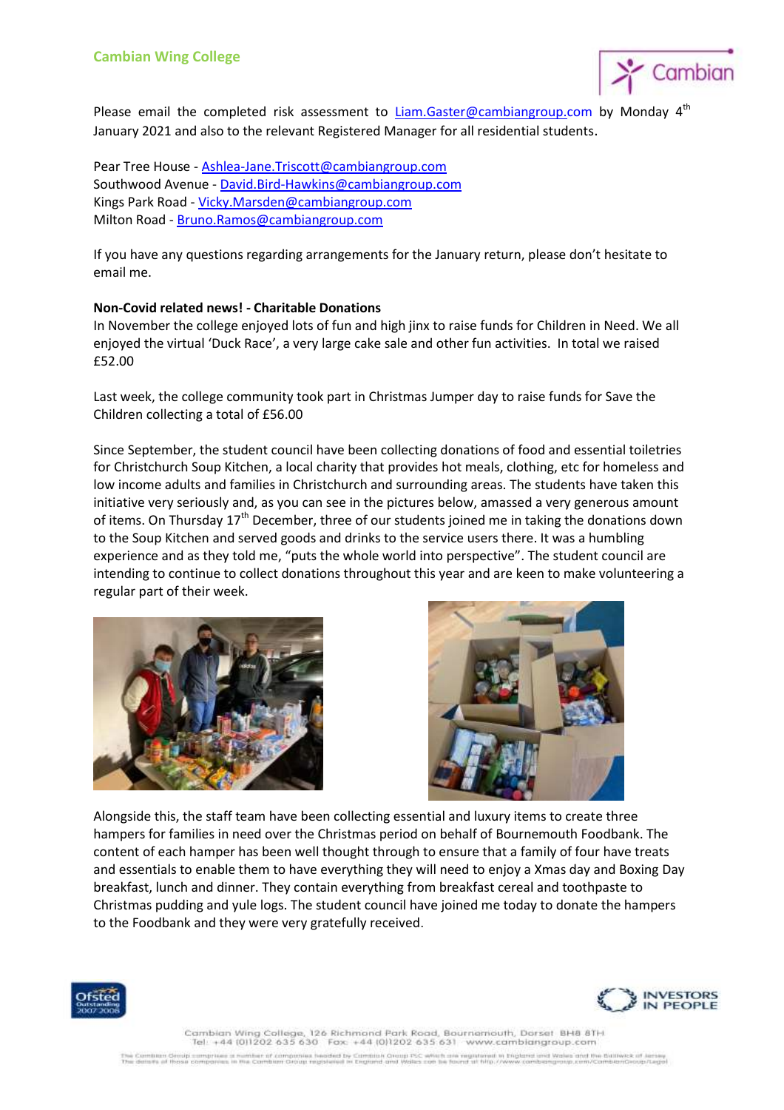

Please email the completed risk assessment to [Liam.Gaster@cambiangroup.com](mailto:Liam.Gaster@cambiangroup.com) by Monday 4<sup>th</sup> January 2021 and also to the relevant Registered Manager for all residential students.

Pear Tree House - [Ashlea-Jane.Triscott@cambiangroup.com](mailto:Ashlea-Jane.Triscott@cambiangroup.com) Southwood Avenue - [David.Bird-Hawkins@cambiangroup.com](mailto:David.Bird-Hawkins@cambiangroup.com) Kings Park Road - [Vicky.Marsden@cambiangroup.com](mailto:Vicky.Marsden@cambiangroup.com) Milton Road - [Bruno.Ramos@cambiangroup.com](mailto:Bruno.Ramos@cambiangroup.com)

If you have any questions regarding arrangements for the January return, please don't hesitate to email me.

#### **Non-Covid related news! - Charitable Donations**

In November the college enjoyed lots of fun and high jinx to raise funds for Children in Need. We all enjoyed the virtual 'Duck Race', a very large cake sale and other fun activities. In total we raised £52.00

Last week, the college community took part in Christmas Jumper day to raise funds for Save the Children collecting a total of £56.00

Since September, the student council have been collecting donations of food and essential toiletries for Christchurch Soup Kitchen, a local charity that provides hot meals, clothing, etc for homeless and low income adults and families in Christchurch and surrounding areas. The students have taken this initiative very seriously and, as you can see in the pictures below, amassed a very generous amount of items. On Thursday  $17<sup>th</sup>$  December, three of our students joined me in taking the donations down to the Soup Kitchen and served goods and drinks to the service users there. It was a humbling experience and as they told me, "puts the whole world into perspective". The student council are intending to continue to collect donations throughout this year and are keen to make volunteering a regular part of their week.





Alongside this, the staff team have been collecting essential and luxury items to create three hampers for families in need over the Christmas period on behalf of Bournemouth Foodbank. The content of each hamper has been well thought through to ensure that a family of four have treats and essentials to enable them to have everything they will need to enjoy a Xmas day and Boxing Day breakfast, lunch and dinner. They contain everything from breakfast cereal and toothpaste to Christmas pudding and yule logs. The student council have joined me today to donate the hampers to the Foodbank and they were very gratefully received.





Cambian Wing College, 126 Richmond Park Road, Bournemouth, Dorset BH8 8TH ves a number of companies headed by Cambiak Oroup PSC which are registered in England and Wales and the Ballwick of Jersey<br>Fes in the Cambian Oroup registered in England and Wallas can be found at http://www.cambiangroup.c